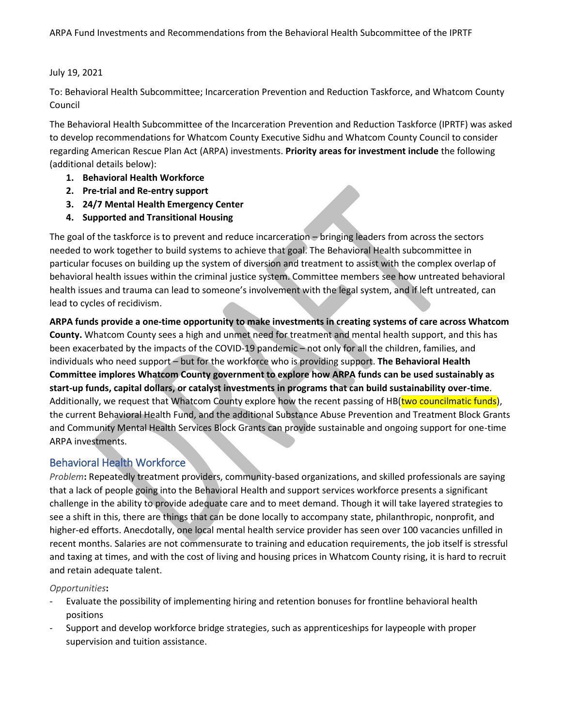#### July 19, 2021

To: Behavioral Health Subcommittee; Incarceration Prevention and Reduction Taskforce, and Whatcom County Council

The Behavioral Health Subcommittee of the Incarceration Prevention and Reduction Taskforce (IPRTF) was asked to develop recommendations for Whatcom County Executive Sidhu and Whatcom County Council to consider regarding American Rescue Plan Act (ARPA) investments. **Priority areas for investment include** the following (additional details below):

- **1. Behavioral Health Workforce**
- **2. Pre-trial and Re-entry support**
- **3. 24/7 Mental Health Emergency Center**
- **4. Supported and Transitional Housing**

The goal of the taskforce is to prevent and reduce incarceration – bringing leaders from across the sectors needed to work together to build systems to achieve that goal. The Behavioral Health subcommittee in particular focuses on building up the system of diversion and treatment to assist with the complex overlap of behavioral health issues within the criminal justice system. Committee members see how untreated behavioral health issues and trauma can lead to someone's involvement with the legal system, and if left untreated, can lead to cycles of recidivism.

**ARPA funds provide a one-time opportunity to make investments in creating systems of care across Whatcom County.** Whatcom County sees a high and unmet need for treatment and mental health support, and this has been exacerbated by the impacts of the COVID-19 pandemic – not only for all the children, families, and individuals who need support – but for the workforce who is providing support. **The Behavioral Health Committee implores Whatcom County government to explore how ARPA funds can be used sustainably as start-up funds, capital dollars, or catalyst investments in programs that can build sustainability over-time**. Additionally, we request that Whatcom County explore how the recent passing of HB(two councilmatic funds), the current Behavioral Health Fund, and the additional Substance Abuse Prevention and Treatment Block Grants and Community Mental Health Services Block Grants can provide sustainable and ongoing support for one-time ARPA investments.

## Behavioral Health Workforce

*Problem***:** Repeatedly treatment providers, community-based organizations, and skilled professionals are saying that a lack of people going into the Behavioral Health and support services workforce presents a significant challenge in the ability to provide adequate care and to meet demand. Though it will take layered strategies to see a shift in this, there are things that can be done locally to accompany state, philanthropic, nonprofit, and higher-ed efforts. Anecdotally, one local mental health service provider has seen over 100 vacancies unfilled in recent months. Salaries are not commensurate to training and education requirements, the job itself is stressful and taxing at times, and with the cost of living and housing prices in Whatcom County rising, it is hard to recruit and retain adequate talent.

### *Opportunities***:**

- Evaluate the possibility of implementing hiring and retention bonuses for frontline behavioral health positions
- Support and develop workforce bridge strategies, such as apprenticeships for laypeople with proper supervision and tuition assistance.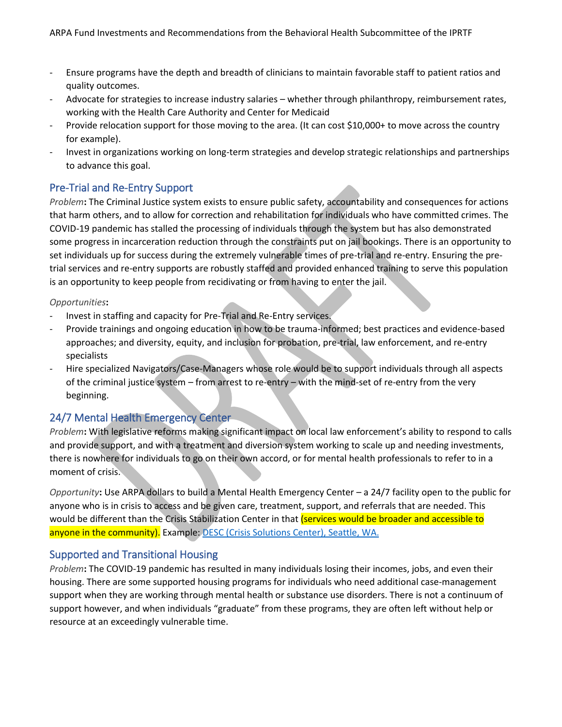- Ensure programs have the depth and breadth of clinicians to maintain favorable staff to patient ratios and quality outcomes.
- Advocate for strategies to increase industry salaries whether through philanthropy, reimbursement rates, working with the Health Care Authority and Center for Medicaid
- Provide relocation support for those moving to the area. (It can cost \$10,000+ to move across the country for example).
- Invest in organizations working on long-term strategies and develop strategic relationships and partnerships to advance this goal.

# Pre-Trial and Re-Entry Support

*Problem***:** The Criminal Justice system exists to ensure public safety, accountability and consequences for actions that harm others, and to allow for correction and rehabilitation for individuals who have committed crimes. The COVID-19 pandemic has stalled the processing of individuals through the system but has also demonstrated some progress in incarceration reduction through the constraints put on jail bookings. There is an opportunity to set individuals up for success during the extremely vulnerable times of pre-trial and re-entry. Ensuring the pretrial services and re-entry supports are robustly staffed and provided enhanced training to serve this population is an opportunity to keep people from recidivating or from having to enter the jail.

### *Opportunities***:**

- Invest in staffing and capacity for Pre-Trial and Re-Entry services.
- Provide trainings and ongoing education in how to be trauma-informed; best practices and evidence-based approaches; and diversity, equity, and inclusion for probation, pre-trial, law enforcement, and re-entry specialists
- Hire specialized Navigators/Case-Managers whose role would be to support individuals through all aspects of the criminal justice system – from arrest to re-entry – with the mind-set of re-entry from the very beginning.

## 24/7 Mental Health Emergency Center

*Problem***:** With legislative reforms making significant impact on local law enforcement's ability to respond to calls and provide support, and with a treatment and diversion system working to scale up and needing investments, there is nowhere for individuals to go on their own accord, or for mental health professionals to refer to in a moment of crisis.

*Opportunity***:** Use ARPA dollars to build a Mental Health Emergency Center – a 24/7 facility open to the public for anyone who is in crisis to access and be given care, treatment, support, and referrals that are needed. This would be different than the Crisis Stabilization Center in that (services would be broader and accessible to anyone in the community). Example[: DESC \(Crisis Solutions Center\), Seattle, WA.](https://www.desc.org/what-we-do/crisis-response/)

## Supported and Transitional Housing

*Problem***:** The COVID-19 pandemic has resulted in many individuals losing their incomes, jobs, and even their housing. There are some supported housing programs for individuals who need additional case-management support when they are working through mental health or substance use disorders. There is not a continuum of support however, and when individuals "graduate" from these programs, they are often left without help or resource at an exceedingly vulnerable time.